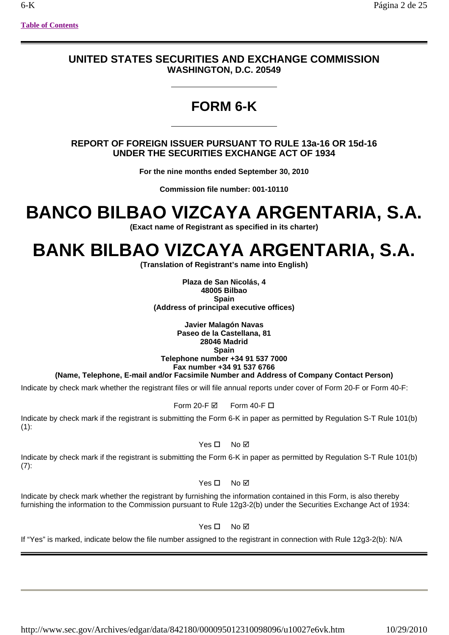# **UNITED STATES SECURITIES AND EXCHANGE COMMISSION WASHINGTON, D.C. 20549**

# **FORM 6-K**

# **REPORT OF FOREIGN ISSUER PURSUANT TO RULE 13a-16 OR 15d-16 UNDER THE SECURITIES EXCHANGE ACT OF 1934**

**For the nine months ended September 30, 2010**

**Commission file number: 001-10110**

# **BANCO BILBAO VIZCAYA ARGENTARIA, S.A.**

**(Exact name of Registrant as specified in its charter)**

# **BANK BILBAO VIZCAYA ARGENTARIA, S.A.**

**(Translation of Registrant's name into English)**

**Plaza de San Nicolás, 4 48005 Bilbao Spain (Address of principal executive offices)**

**Javier Malagón Navas Paseo de la Castellana, 81 28046 Madrid Spain Telephone number +34 91 537 7000 Fax number +34 91 537 6766** 

# **(Name, Telephone, E-mail and/or Facsimile Number and Address of Company Contact Person)**

Indicate by check mark whether the registrant files or will file annual reports under cover of Form 20-F or Form 40-F:

# Form 20-F $\boxtimes$  Form 40-F $\square$

Indicate by check mark if the registrant is submitting the Form 6-K in paper as permitted by Regulation S-T Rule 101(b)  $(1)$ :

# $Yes \Box No \Box$

Indicate by check mark if the registrant is submitting the Form 6-K in paper as permitted by Regulation S-T Rule 101(b) (7):

# $Yes \Box No \Box$

Indicate by check mark whether the registrant by furnishing the information contained in this Form, is also thereby furnishing the information to the Commission pursuant to Rule 12g3-2(b) under the Securities Exchange Act of 1934:

# Yes □ No **Ø**

If "Yes" is marked, indicate below the file number assigned to the registrant in connection with Rule 12g3-2(b): N/A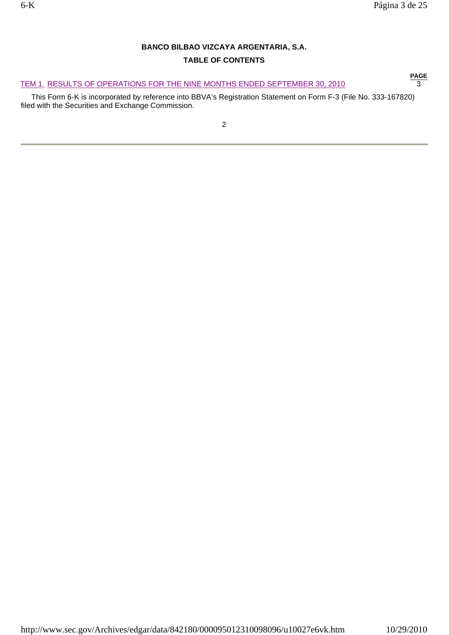# **BANCO BILBAO VIZCAYA ARGENTARIA, S.A.**

# **TABLE OF CONTENTS**

TEM 1. RESULTS OF OPERATIONS FOR THE NINE MONTHS ENDED SEPTEMBER 30, 2010 **FAGE** 

 This Form 6-K is incorporated by reference into BBVA's Registration Statement on Form F-3 (File No. 333-167820) filed with the Securities and Exchange Commission.

**PAGE PAGE**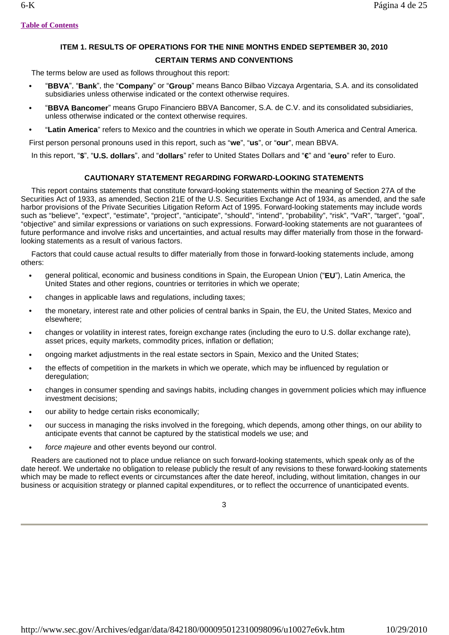# **ITEM 1. RESULTS OF OPERATIONS FOR THE NINE MONTHS ENDED SEPTEMBER 30, 2010 CERTAIN TERMS AND CONVENTIONS**

The terms below are used as follows throughout this report:

- **•** "**BBVA**", "**Bank**", the "**Company**" or "**Group**" means Banco Bilbao Vizcaya Argentaria, S.A. and its consolidated subsidiaries unless otherwise indicated or the context otherwise requires.
- **•** "**BBVA Bancomer**" means Grupo Financiero BBVA Bancomer, S.A. de C.V. and its consolidated subsidiaries, unless otherwise indicated or the context otherwise requires.
- **•** "**Latin America**" refers to Mexico and the countries in which we operate in South America and Central America.

First person personal pronouns used in this report, such as "**we**", "**us**", or "**our**", mean BBVA.

In this report, "**\$**", "**U.S. dollars**", and "**dollars**" refer to United States Dollars and "**€**" and "**euro**" refer to Euro.

# **CAUTIONARY STATEMENT REGARDING FORWARD-LOOKING STATEMENTS**

 This report contains statements that constitute forward-looking statements within the meaning of Section 27A of the Securities Act of 1933, as amended, Section 21E of the U.S. Securities Exchange Act of 1934, as amended, and the safe harbor provisions of the Private Securities Litigation Reform Act of 1995. Forward-looking statements may include words such as "believe", "expect", "estimate", "project", "anticipate", "should", "intend", "probability", "risk", "VaR", "target", "goal", "objective" and similar expressions or variations on such expressions. Forward-looking statements are not guarantees of future performance and involve risks and uncertainties, and actual results may differ materially from those in the forwardlooking statements as a result of various factors.

 Factors that could cause actual results to differ materially from those in forward-looking statements include, among others:

- **•** general political, economic and business conditions in Spain, the European Union ("**EU**"), Latin America, the United States and other regions, countries or territories in which we operate;
- **•** changes in applicable laws and regulations, including taxes;
- **•** the monetary, interest rate and other policies of central banks in Spain, the EU, the United States, Mexico and elsewhere;
- **•** changes or volatility in interest rates, foreign exchange rates (including the euro to U.S. dollar exchange rate), asset prices, equity markets, commodity prices, inflation or deflation;
- **•** ongoing market adjustments in the real estate sectors in Spain, Mexico and the United States;
- **•** the effects of competition in the markets in which we operate, which may be influenced by regulation or deregulation;
- **•** changes in consumer spending and savings habits, including changes in government policies which may influence investment decisions;
- **•** our ability to hedge certain risks economically;
- **•** our success in managing the risks involved in the foregoing, which depends, among other things, on our ability to anticipate events that cannot be captured by the statistical models we use; and
- **•** *force majeure* and other events beyond our control.

 Readers are cautioned not to place undue reliance on such forward-looking statements, which speak only as of the date hereof. We undertake no obligation to release publicly the result of any revisions to these forward-looking statements which may be made to reflect events or circumstances after the date hereof, including, without limitation, changes in our business or acquisition strategy or planned capital expenditures, or to reflect the occurrence of unanticipated events.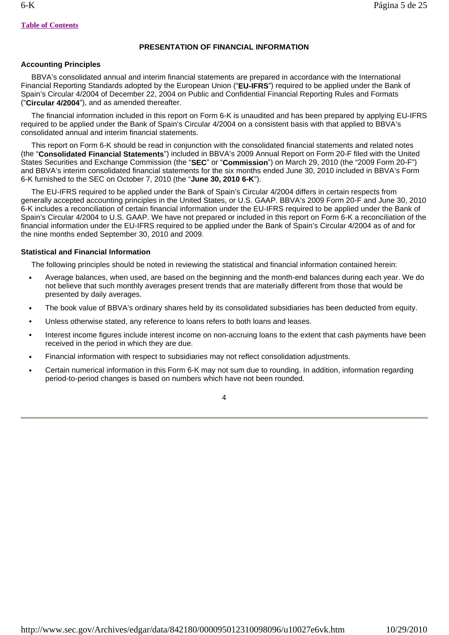# **PRESENTATION OF FINANCIAL INFORMATION**

# **Accounting Principles**

 BBVA's consolidated annual and interim financial statements are prepared in accordance with the International Financial Reporting Standards adopted by the European Union ("**EU-IFRS**") required to be applied under the Bank of Spain's Circular 4/2004 of December 22, 2004 on Public and Confidential Financial Reporting Rules and Formats ("**Circular 4/2004**"), and as amended thereafter.

 The financial information included in this report on Form 6-K is unaudited and has been prepared by applying EU-IFRS required to be applied under the Bank of Spain's Circular 4/2004 on a consistent basis with that applied to BBVA's consolidated annual and interim financial statements.

 This report on Form 6-K should be read in conjunction with the consolidated financial statements and related notes (the "**Consolidated Financial Statements**") included in BBVA's 2009 Annual Report on Form 20-F filed with the United States Securities and Exchange Commission (the "**SEC**" or "**Commission**") on March 29, 2010 (the "2009 Form 20-F") and BBVA's interim consolidated financial statements for the six months ended June 30, 2010 included in BBVA's Form 6-K furnished to the SEC on October 7, 2010 (the "**June 30, 2010 6-K**").

 The EU-IFRS required to be applied under the Bank of Spain's Circular 4/2004 differs in certain respects from generally accepted accounting principles in the United States, or U.S. GAAP. BBVA's 2009 Form 20-F and June 30, 2010 6-K includes a reconciliation of certain financial information under the EU-IFRS required to be applied under the Bank of Spain's Circular 4/2004 to U.S. GAAP. We have not prepared or included in this report on Form 6-K a reconciliation of the financial information under the EU-IFRS required to be applied under the Bank of Spain's Circular 4/2004 as of and for the nine months ended September 30, 2010 and 2009.

# **Statistical and Financial Information**

The following principles should be noted in reviewing the statistical and financial information contained herein:

- **•** Average balances, when used, are based on the beginning and the month-end balances during each year. We do not believe that such monthly averages present trends that are materially different from those that would be presented by daily averages.
- **•** The book value of BBVA's ordinary shares held by its consolidated subsidiaries has been deducted from equity.
- **•** Unless otherwise stated, any reference to loans refers to both loans and leases.
- **•** Interest income figures include interest income on non-accruing loans to the extent that cash payments have been received in the period in which they are due.
- **•** Financial information with respect to subsidiaries may not reflect consolidation adjustments.
- **•** Certain numerical information in this Form 6-K may not sum due to rounding. In addition, information regarding period-to-period changes is based on numbers which have not been rounded.

4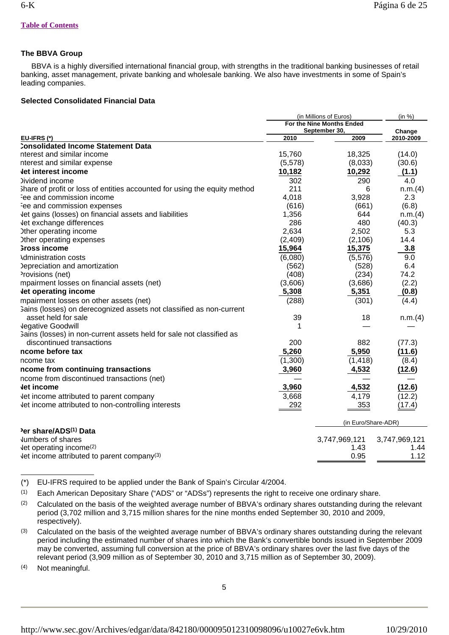# **The BBVA Group**

 BBVA is a highly diversified international financial group, with strengths in the traditional banking businesses of retail banking, asset management, private banking and wholesale banking. We also have investments in some of Spain's leading companies.

# **Selected Consolidated Financial Data**

|                                                                           | (in Millions of Euros)<br>For the Nine Months Ended |                       | (in %)              |  |
|---------------------------------------------------------------------------|-----------------------------------------------------|-----------------------|---------------------|--|
| EU-IFRS (*)                                                               | 2010                                                | September 30,<br>2009 | Change<br>2010-2009 |  |
| Consolidated Income Statement Data                                        |                                                     |                       |                     |  |
| nterest and similar income                                                | 15,760                                              | 18,325                | (14.0)              |  |
| nterest and similar expense                                               | (5,578)                                             | (8,033)               | (30.6)              |  |
| <b>Jet interest income</b>                                                | 10,182                                              | 10,292                | (1.1)               |  |
| <b>Dividend income</b>                                                    | 302                                                 | 290                   | 4.0                 |  |
| Share of profit or loss of entities accounted for using the equity method | 211                                                 | 6                     | n.m.(4)             |  |
| Fee and commission income                                                 | 4,018                                               | 3,928                 | 2.3                 |  |
| ee and commission expenses                                                | (616)                                               | (661)                 | (6.8)               |  |
| Jet gains (losses) on financial assets and liabilities                    | 1,356                                               | 644                   | n.m.(4)             |  |
| let exchange differences                                                  | 286                                                 | 480                   | (40.3)              |  |
| Other operating income                                                    | 2,634                                               | 2,502                 | 5.3                 |  |
| Ither operating expenses                                                  | (2,409)                                             | (2, 106)              | 14.4                |  |
| Gross income                                                              | 15,964                                              | 15,375                | 3.8                 |  |
| Administration costs                                                      | (6,080)                                             | (5,576)               | 9.0                 |  |
| Depreciation and amortization                                             | (562)                                               | (528)                 | 6.4                 |  |
| Provisions (net)                                                          | (408)                                               | (234)                 | 74.2                |  |
| mpairment losses on financial assets (net)                                | (3,606)                                             | (3,686)               | (2.2)               |  |
| let operating income                                                      | 5,308                                               | 5,351                 | (0.8)               |  |
| mpairment losses on other assets (net)                                    | (288)                                               | (301)                 | (4.4)               |  |
| 3ains (losses) on derecognized assets not classified as non-current       |                                                     |                       |                     |  |
| asset held for sale                                                       | 39                                                  | 18                    | n.m.(4)             |  |
| <b>Jegative Goodwill</b>                                                  | 1                                                   |                       |                     |  |
| Gains (losses) in non-current assets held for sale not classified as      |                                                     |                       |                     |  |
| discontinued transactions                                                 | 200                                                 | 882                   | (77.3)              |  |
| ncome before tax                                                          | 5,260                                               | 5,950                 | (11.6)              |  |
| ncome tax                                                                 | (1,300)                                             | (1, 418)              | (8.4)               |  |
| ncome from continuing transactions                                        | 3,960                                               | 4,532                 | (12.6)              |  |
| ncome from discontinued transactions (net)                                |                                                     |                       |                     |  |
| Jet income                                                                | 3,960                                               | 4,532                 | (12.6)              |  |
| Jet income attributed to parent company                                   | 3,668                                               | 4,179                 | (12.2)              |  |
| Jet income attributed to non-controlling interests                        | 292                                                 | 353                   | (17.4)              |  |
|                                                                           |                                                     | (in Euro/Share-ADR)   |                     |  |
| Per share/ADS <sup>(1)</sup> Data                                         |                                                     |                       |                     |  |
| Jumbers of shares                                                         |                                                     | 3,747,969,121         | 3,747,969,121       |  |
| $let$ operating income <sup>(2)</sup>                                     |                                                     | 1.43                  | 1.44                |  |
| $let$ income attributed to parent company <sup>(3)</sup>                  |                                                     | 0.95                  | 1.12                |  |

(\*) EU-IFRS required to be applied under the Bank of Spain's Circular 4/2004.

(1) Each American Depositary Share ("ADS" or "ADSs") represents the right to receive one ordinary share.

- (2) Calculated on the basis of the weighted average number of BBVA's ordinary shares outstanding during the relevant period (3,702 million and 3,715 million shares for the nine months ended September 30, 2010 and 2009, respectively).
- (3) Calculated on the basis of the weighted average number of BBVA's ordinary shares outstanding during the relevant period including the estimated number of shares into which the Bank's convertible bonds issued in September 2009 may be converted, assuming full conversion at the price of BBVA's ordinary shares over the last five days of the relevant period (3,909 million as of September 30, 2010 and 3,715 million as of September 30, 2009).

(4) Not meaningful.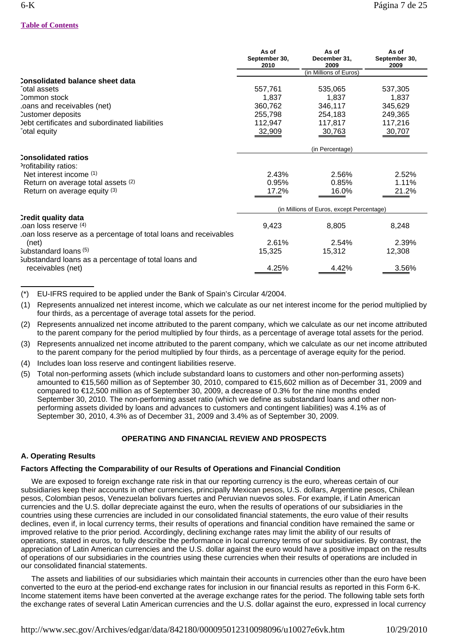|                                                                 | As of<br>September 30,<br>2010            | As of<br>December 31,<br>2009 | As of<br>September 30,<br>2009 |
|-----------------------------------------------------------------|-------------------------------------------|-------------------------------|--------------------------------|
|                                                                 |                                           | (in Millions of Euros)        |                                |
| Consolidated balance sheet data                                 |                                           |                               |                                |
| otal assets                                                     | 557,761                                   | 535,065                       | 537,305                        |
| Common stock                                                    | 1,837                                     | 1,837                         | 1,837                          |
| oans and receivables (net)                                      | 360,762                                   | 346,117                       | 345,629                        |
| Customer deposits                                               | 255,798                                   | 254,183                       | 249,365                        |
| Debt certificates and subordinated liabilities                  | 112,947                                   | 117,817                       | 117,216                        |
| otal equity <sup>-</sup>                                        | 32,909                                    | 30,763                        | 30,707                         |
|                                                                 | (in Percentage)                           |                               |                                |
| <b>Consolidated ratios</b>                                      |                                           |                               |                                |
| Profitability ratios:                                           |                                           |                               |                                |
| Net interest income (1)                                         | 2.43%                                     | 2.56%                         | 2.52%                          |
| Return on average total assets (2)                              | 0.95%                                     | 0.85%                         | 1.11%                          |
| Return on average equity (3)                                    | 17.2%                                     | 16.0%                         | 21.2%                          |
|                                                                 | (in Millions of Euros, except Percentage) |                               |                                |
| Credit quality data                                             |                                           |                               |                                |
| $\alpha$ loss reserve $(4)$                                     | 9,423                                     | 8,805                         | 8,248                          |
| oan loss reserve as a percentage of total loans and receivables |                                           |                               |                                |
| (net)                                                           | 2.61%                                     | 2.54%                         | 2.39%                          |
| Substandard loans $(5)$                                         | 15,325                                    | 15,312                        | 12,308                         |
| Substandard loans as a percentage of total loans and            |                                           |                               |                                |
| receivables (net)                                               | 4.25%                                     | 4.42%                         | 3.56%                          |

(\*) EU-IFRS required to be applied under the Bank of Spain's Circular 4/2004.

(1) Represents annualized net interest income, which we calculate as our net interest income for the period multiplied by four thirds, as a percentage of average total assets for the period.

- (2) Represents annualized net income attributed to the parent company, which we calculate as our net income attributed to the parent company for the period multiplied by four thirds, as a percentage of average total assets for the period.
- (3) Represents annualized net income attributed to the parent company, which we calculate as our net income attributed to the parent company for the period multiplied by four thirds, as a percentage of average equity for the period.
- (4) Includes loan loss reserve and contingent liabilities reserve.
- (5) Total non-performing assets (which include substandard loans to customers and other non-performing assets) amounted to €15,560 million as of September 30, 2010, compared to €15,602 million as of December 31, 2009 and compared to €12,500 million as of September 30, 2009, a decrease of 0.3% for the nine months ended September 30, 2010. The non-performing asset ratio (which we define as substandard loans and other nonperforming assets divided by loans and advances to customers and contingent liabilities) was 4.1% as of September 30, 2010, 4.3% as of December 31, 2009 and 3.4% as of September 30, 2009.

# **OPERATING AND FINANCIAL REVIEW AND PROSPECTS**

# **A. Operating Results**

# **Factors Affecting the Comparability of our Results of Operations and Financial Condition**

 We are exposed to foreign exchange rate risk in that our reporting currency is the euro, whereas certain of our subsidiaries keep their accounts in other currencies, principally Mexican pesos, U.S. dollars, Argentine pesos, Chilean pesos, Colombian pesos, Venezuelan bolivars fuertes and Peruvian nuevos soles. For example, if Latin American currencies and the U.S. dollar depreciate against the euro, when the results of operations of our subsidiaries in the countries using these currencies are included in our consolidated financial statements, the euro value of their results declines, even if, in local currency terms, their results of operations and financial condition have remained the same or improved relative to the prior period. Accordingly, declining exchange rates may limit the ability of our results of operations, stated in euros, to fully describe the performance in local currency terms of our subsidiaries. By contrast, the appreciation of Latin American currencies and the U.S. dollar against the euro would have a positive impact on the results of operations of our subsidiaries in the countries using these currencies when their results of operations are included in our consolidated financial statements.

 The assets and liabilities of our subsidiaries which maintain their accounts in currencies other than the euro have been converted to the euro at the period-end exchange rates for inclusion in our financial results as reported in this Form 6-K. Income statement items have been converted at the average exchange rates for the period. The following table sets forth the exchange rates of several Latin American currencies and the U.S. dollar against the euro, expressed in local currency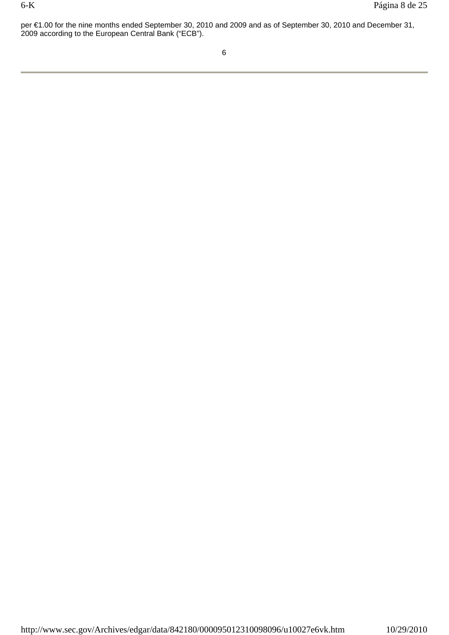per €1.00 for the nine months ended September 30, 2010 and 2009 and as of September 30, 2010 and December 31, 2009 according to the European Central Bank ("ECB").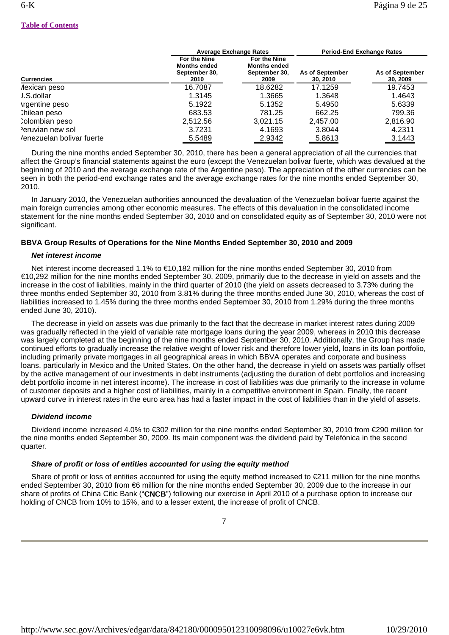|                           |                                                              | <b>Average Exchange Rates</b>                                |                             | <b>Period-End Exchange Rates</b> |
|---------------------------|--------------------------------------------------------------|--------------------------------------------------------------|-----------------------------|----------------------------------|
| <b>Currencies</b>         | For the Nine<br><b>Months ended</b><br>September 30,<br>2010 | For the Nine<br><b>Months ended</b><br>September 30,<br>2009 | As of September<br>30, 2010 | As of September<br>30, 2009      |
| Aexican peso              | 16.7087                                                      | 18.6282                                                      | 17.1259                     | 19.7453                          |
| J.S.dollar                | 1.3145                                                       | 1.3665                                                       | 1.3648                      | 1.4643                           |
| <b>\rgentine peso</b>     | 5.1922                                                       | 5.1352                                                       | 5.4950                      | 5.6339                           |
| Chilean peso              | 683.53                                                       | 781.25                                                       | 662.25                      | 799.36                           |
| Colombian peso            | 2.512.56                                                     | 3.021.15                                                     | 2.457.00                    | 2,816.90                         |
| Peruvian new sol          | 3.7231                                                       | 4.1693                                                       | 3.8044                      | 4.2311                           |
| /enezuelan bolivar fuerte | 5.5489                                                       | 2.9342                                                       | 5.8613                      | 3.1443                           |

 During the nine months ended September 30, 2010, there has been a general appreciation of all the currencies that affect the Group's financial statements against the euro (except the Venezuelan bolivar fuerte, which was devalued at the beginning of 2010 and the average exchange rate of the Argentine peso). The appreciation of the other currencies can be seen in both the period-end exchange rates and the average exchange rates for the nine months ended September 30, 2010.

 In January 2010, the Venezuelan authorities announced the devaluation of the Venezuelan bolivar fuerte against the main foreign currencies among other economic measures. The effects of this devaluation in the consolidated income statement for the nine months ended September 30, 2010 and on consolidated equity as of September 30, 2010 were not significant.

# **BBVA Group Results of Operations for the Nine Months Ended September 30, 2010 and 2009**

# *Net interest income*

 Net interest income decreased 1.1% to €10,182 million for the nine months ended September 30, 2010 from €10,292 million for the nine months ended September 30, 2009, primarily due to the decrease in yield on assets and the increase in the cost of liabilities, mainly in the third quarter of 2010 (the yield on assets decreased to 3.73% during the three months ended September 30, 2010 from 3.81% during the three months ended June 30, 2010, whereas the cost of liabilities increased to 1.45% during the three months ended September 30, 2010 from 1.29% during the three months ended June 30, 2010).

 The decrease in yield on assets was due primarily to the fact that the decrease in market interest rates during 2009 was gradually reflected in the yield of variable rate mortgage loans during the year 2009, whereas in 2010 this decrease was largely completed at the beginning of the nine months ended September 30, 2010. Additionally, the Group has made continued efforts to gradually increase the relative weight of lower risk and therefore lower yield, loans in its loan portfolio, including primarily private mortgages in all geographical areas in which BBVA operates and corporate and business loans, particularly in Mexico and the United States. On the other hand, the decrease in yield on assets was partially offset by the active management of our investments in debt instruments (adjusting the duration of debt portfolios and increasing debt portfolio income in net interest income). The increase in cost of liabilities was due primarily to the increase in volume of customer deposits and a higher cost of liabilities, mainly in a competitive environment in Spain. Finally, the recent upward curve in interest rates in the euro area has had a faster impact in the cost of liabilities than in the yield of assets.

# *Dividend income*

 Dividend income increased 4.0% to €302 million for the nine months ended September 30, 2010 from €290 million for the nine months ended September 30, 2009. Its main component was the dividend paid by Telefónica in the second quarter.

# *Share of profit or loss of entities accounted for using the equity method*

 Share of profit or loss of entities accounted for using the equity method increased to €211 million for the nine months ended September 30, 2010 from €6 million for the nine months ended September 30, 2009 due to the increase in our share of profits of China Citic Bank ("**CNCB**") following our exercise in April 2010 of a purchase option to increase our holding of CNCB from 10% to 15%, and to a lesser extent, the increase of profit of CNCB.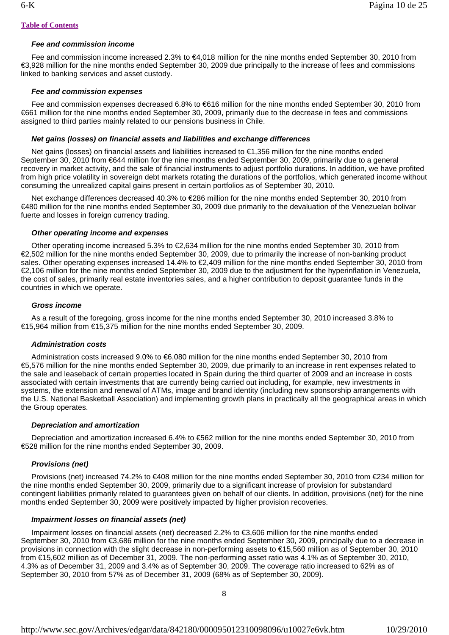# *Fee and commission income*

 Fee and commission income increased 2.3% to €4,018 million for the nine months ended September 30, 2010 from €3,928 million for the nine months ended September 30, 2009 due principally to the increase of fees and commissions linked to banking services and asset custody.

# *Fee and commission expenses*

 Fee and commission expenses decreased 6.8% to €616 million for the nine months ended September 30, 2010 from €661 million for the nine months ended September 30, 2009, primarily due to the decrease in fees and commissions assigned to third parties mainly related to our pensions business in Chile.

# *Net gains (losses) on financial assets and liabilities and exchange differences*

Net gains (losses) on financial assets and liabilities increased to €1,356 million for the nine months ended September 30, 2010 from €644 million for the nine months ended September 30, 2009, primarily due to a general recovery in market activity, and the sale of financial instruments to adjust portfolio durations. In addition, we have profited from high price volatility in sovereign debt markets rotating the durations of the portfolios, which generated income without consuming the unrealized capital gains present in certain portfolios as of September 30, 2010.

 Net exchange differences decreased 40.3% to €286 million for the nine months ended September 30, 2010 from €480 million for the nine months ended September 30, 2009 due primarily to the devaluation of the Venezuelan bolivar fuerte and losses in foreign currency trading.

# *Other operating income and expenses*

 Other operating income increased 5.3% to €2,634 million for the nine months ended September 30, 2010 from €2,502 million for the nine months ended September 30, 2009, due to primarily the increase of non-banking product sales. Other operating expenses increased 14.4% to €2,409 million for the nine months ended September 30, 2010 from €2,106 million for the nine months ended September 30, 2009 due to the adjustment for the hyperinflation in Venezuela, the cost of sales, primarily real estate inventories sales, and a higher contribution to deposit guarantee funds in the countries in which we operate.

# *Gross income*

 As a result of the foregoing, gross income for the nine months ended September 30, 2010 increased 3.8% to €15,964 million from €15,375 million for the nine months ended September 30, 2009.

# *Administration costs*

 Administration costs increased 9.0% to €6,080 million for the nine months ended September 30, 2010 from €5,576 million for the nine months ended September 30, 2009, due primarily to an increase in rent expenses related to the sale and leaseback of certain properties located in Spain during the third quarter of 2009 and an increase in costs associated with certain investments that are currently being carried out including, for example, new investments in systems, the extension and renewal of ATMs, image and brand identity (including new sponsorship arrangements with the U.S. National Basketball Association) and implementing growth plans in practically all the geographical areas in which the Group operates.

# *Depreciation and amortization*

 Depreciation and amortization increased 6.4% to €562 million for the nine months ended September 30, 2010 from €528 million for the nine months ended September 30, 2009.

# *Provisions (net)*

 Provisions (net) increased 74.2% to €408 million for the nine months ended September 30, 2010 from €234 million for the nine months ended September 30, 2009, primarily due to a significant increase of provision for substandard contingent liabilities primarily related to guarantees given on behalf of our clients. In addition, provisions (net) for the nine months ended September 30, 2009 were positively impacted by higher provision recoveries.

# *Impairment losses on financial assets (net)*

 Impairment losses on financial assets (net) decreased 2.2% to €3,606 million for the nine months ended September 30, 2010 from €3,686 million for the nine months ended September 30, 2009, principally due to a decrease in provisions in connection with the slight decrease in non-performing assets to €15,560 million as of September 30, 2010 from €15,602 million as of December 31, 2009. The non-performing asset ratio was 4.1% as of September 30, 2010, 4.3% as of December 31, 2009 and 3.4% as of September 30, 2009. The coverage ratio increased to 62% as of September 30, 2010 from 57% as of December 31, 2009 (68% as of September 30, 2009).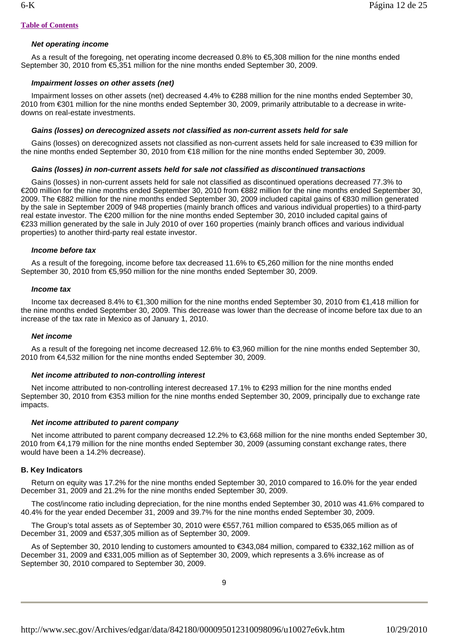# *Net operating income*

 As a result of the foregoing, net operating income decreased 0.8% to €5,308 million for the nine months ended September 30, 2010 from €5,351 million for the nine months ended September 30, 2009.

# *Impairment losses on other assets (net)*

 Impairment losses on other assets (net) decreased 4.4% to €288 million for the nine months ended September 30, 2010 from €301 million for the nine months ended September 30, 2009, primarily attributable to a decrease in writedowns on real-estate investments.

# *Gains (losses) on derecognized assets not classified as non-current assets held for sale*

Gains (losses) on derecognized assets not classified as non-current assets held for sale increased to €39 million for the nine months ended September 30, 2010 from €18 million for the nine months ended September 30, 2009.

# *Gains (losses) in non-current assets held for sale not classified as discontinued transactions*

 Gains (losses) in non-current assets held for sale not classified as discontinued operations decreased 77.3% to €200 million for the nine months ended September 30, 2010 from €882 million for the nine months ended September 30, 2009. The €882 million for the nine months ended September 30, 2009 included capital gains of €830 million generated by the sale in September 2009 of 948 properties (mainly branch offices and various individual properties) to a third-party real estate investor. The €200 million for the nine months ended September 30, 2010 included capital gains of €233 million generated by the sale in July 2010 of over 160 properties (mainly branch offices and various individual properties) to another third-party real estate investor.

# *Income before tax*

 As a result of the foregoing, income before tax decreased 11.6% to €5,260 million for the nine months ended September 30, 2010 from €5,950 million for the nine months ended September 30, 2009.

# *Income tax*

 Income tax decreased 8.4% to €1,300 million for the nine months ended September 30, 2010 from €1,418 million for the nine months ended September 30, 2009. This decrease was lower than the decrease of income before tax due to an increase of the tax rate in Mexico as of January 1, 2010.

# *Net income*

 As a result of the foregoing net income decreased 12.6% to €3,960 million for the nine months ended September 30, 2010 from €4,532 million for the nine months ended September 30, 2009.

# *Net income attributed to non-controlling interest*

 Net income attributed to non-controlling interest decreased 17.1% to €293 million for the nine months ended September 30, 2010 from €353 million for the nine months ended September 30, 2009, principally due to exchange rate impacts.

# *Net income attributed to parent company*

 Net income attributed to parent company decreased 12.2% to €3,668 million for the nine months ended September 30, 2010 from €4,179 million for the nine months ended September 30, 2009 (assuming constant exchange rates, there would have been a 14.2% decrease).

# **B. Key Indicators**

 Return on equity was 17.2% for the nine months ended September 30, 2010 compared to 16.0% for the year ended December 31, 2009 and 21.2% for the nine months ended September 30, 2009.

 The cost/income ratio including depreciation, for the nine months ended September 30, 2010 was 41.6% compared to 40.4% for the year ended December 31, 2009 and 39.7% for the nine months ended September 30, 2009.

 The Group's total assets as of September 30, 2010 were €557,761 million compared to €535,065 million as of December 31, 2009 and €537,305 million as of September 30, 2009.

 As of September 30, 2010 lending to customers amounted to €343,084 million, compared to €332,162 million as of December 31, 2009 and €331,005 million as of September 30, 2009, which represents a 3.6% increase as of September 30, 2010 compared to September 30, 2009.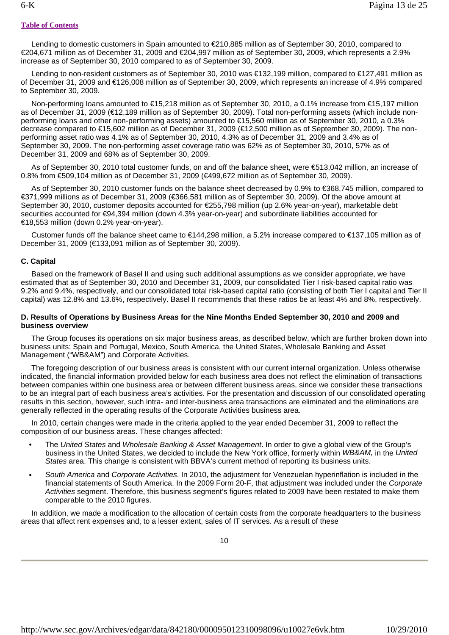Lending to domestic customers in Spain amounted to €210,885 million as of September 30, 2010, compared to €204,671 million as of December 31, 2009 and €204,997 million as of September 30, 2009, which represents a 2.9% increase as of September 30, 2010 compared to as of September 30, 2009.

 Lending to non-resident customers as of September 30, 2010 was €132,199 million, compared to €127,491 million as of December 31, 2009 and €126,008 million as of September 30, 2009, which represents an increase of 4.9% compared to September 30, 2009.

 Non-performing loans amounted to €15,218 million as of September 30, 2010, a 0.1% increase from €15,197 million as of December 31, 2009 (€12,189 million as of September 30, 2009). Total non-performing assets (which include nonperforming loans and other non-performing assets) amounted to €15,560 million as of September 30, 2010, a 0.3% decrease compared to €15,602 million as of December 31, 2009 (€12,500 million as of September 30, 2009). The nonperforming asset ratio was 4.1% as of September 30, 2010, 4.3% as of December 31, 2009 and 3.4% as of September 30, 2009. The non-performing asset coverage ratio was 62% as of September 30, 2010, 57% as of December 31, 2009 and 68% as of September 30, 2009.

 As of September 30, 2010 total customer funds, on and off the balance sheet, were €513,042 million, an increase of 0.8% from €509,104 million as of December 31, 2009 (€499,672 million as of September 30, 2009).

 As of September 30, 2010 customer funds on the balance sheet decreased by 0.9% to €368,745 million, compared to €371,999 millions as of December 31, 2009 (€366,581 million as of September 30, 2009). Of the above amount at September 30, 2010, customer deposits accounted for €255,798 million (up 2.6% year-on-year), marketable debt securities accounted for €94,394 million (down 4.3% year-on-year) and subordinate liabilities accounted for €18,553 million (down 0.2% year-on-year).

 Customer funds off the balance sheet came to €144,298 million, a 5.2% increase compared to €137,105 million as of December 31, 2009 (€133,091 million as of September 30, 2009).

# **C. Capital**

 Based on the framework of Basel II and using such additional assumptions as we consider appropriate, we have estimated that as of September 30, 2010 and December 31, 2009, our consolidated Tier I risk-based capital ratio was 9.2% and 9.4%, respectively, and our consolidated total risk-based capital ratio (consisting of both Tier I capital and Tier II capital) was 12.8% and 13.6%, respectively. Basel II recommends that these ratios be at least 4% and 8%, respectively.

# **D. Results of Operations by Business Areas for the Nine Months Ended September 30, 2010 and 2009 and business overview**

 The Group focuses its operations on six major business areas, as described below, which are further broken down into business units: Spain and Portugal, Mexico, South America, the United States, Wholesale Banking and Asset Management ("WB&AM") and Corporate Activities.

 The foregoing description of our business areas is consistent with our current internal organization. Unless otherwise indicated, the financial information provided below for each business area does not reflect the elimination of transactions between companies within one business area or between different business areas, since we consider these transactions to be an integral part of each business area's activities. For the presentation and discussion of our consolidated operating results in this section, however, such intra- and inter-business area transactions are eliminated and the eliminations are generally reflected in the operating results of the Corporate Activities business area.

 In 2010, certain changes were made in the criteria applied to the year ended December 31, 2009 to reflect the composition of our business areas. These changes affected:

- **•** The *United States* and *Wholesale Banking & Asset Management*. In order to give a global view of the Group's business in the United States, we decided to include the New York office, formerly within *WB&AM,* in the *United States* area. This change is consistent with BBVA's current method of reporting its business units.
- **•** *South America* and *Corporate Activities*. In 2010, the adjustment for Venezuelan hyperinflation is included in the financial statements of South America. In the 2009 Form 20-F, that adjustment was included under the *Corporate Activities* segment. Therefore, this business segment's figures related to 2009 have been restated to make them comparable to the 2010 figures.

 In addition, we made a modification to the allocation of certain costs from the corporate headquarters to the business areas that affect rent expenses and, to a lesser extent, sales of IT services. As a result of these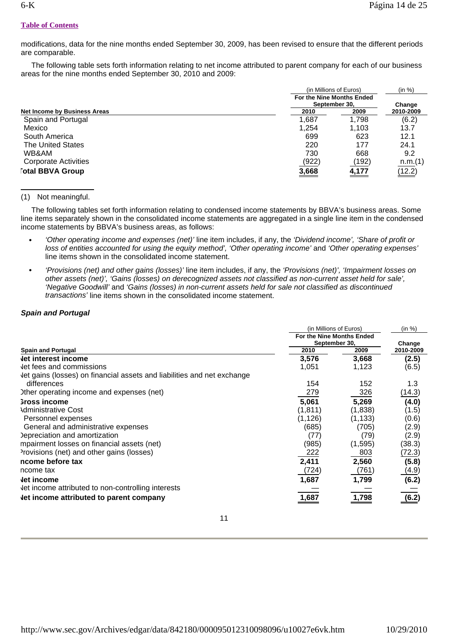#### **Table of Contents**

modifications, data for the nine months ended September 30, 2009, has been revised to ensure that the different periods are comparable.

 The following table sets forth information relating to net income attributed to parent company for each of our business areas for the nine months ended September 30, 2010 and 2009:

|                              |       | (in Millions of Euros)<br>For the Nine Months Ended<br>September 30, |           |
|------------------------------|-------|----------------------------------------------------------------------|-----------|
|                              |       |                                                                      |           |
| Net Income by Business Areas | 2010  | 2009                                                                 | 2010-2009 |
| Spain and Portugal           | 1,687 | 1,798                                                                | (6.2)     |
| Mexico                       | 1,254 | 1.103                                                                | 13.7      |
| South America                | 699   | 623                                                                  | 12.1      |
| The United States            | 220   | 177                                                                  | 24.1      |
| WB&AM                        | 730   | 668                                                                  | 9.2       |
| <b>Corporate Activities</b>  | (922) | (192)                                                                | n.m.(1)   |
| <b>Total BBVA Group</b>      | 3,668 | 4,177                                                                | (12.2)    |

# (1) Not meaningful.

 The following tables set forth information relating to condensed income statements by BBVA's business areas. Some line items separately shown in the consolidated income statements are aggregated in a single line item in the condensed income statements by BBVA's business areas, as follows:

- **•** *'Other operating income and expenses (net)'* line item includes, if any, the *'Dividend income', 'Share of profit or loss of entities accounted for using the equity method', 'Other operating income'* and 'Other operating expenses' line items shown in the consolidated income statement.
- **•** *'Provisions (net) and other gains (losses)'* line item includes, if any, the *'Provisions (net)', 'Impairment losses on other assets (net)', 'Gains (losses) on derecognized assets not classified as non-current asset held for sale', 'Negative Goodwill'* and *'Gains (losses) in non-current assets held for sale not classified as discontinued transactions'* line items shown in the consolidated income statement.

# *Spain and Portugal*

|                                                                         | (in Millions of Euros)                     | (in %)   |           |
|-------------------------------------------------------------------------|--------------------------------------------|----------|-----------|
|                                                                         | For the Nine Months Ended<br>September 30, |          |           |
|                                                                         |                                            |          | Change    |
| <b>Spain and Portugal</b>                                               | 2010                                       | 2009     | 2010-2009 |
| <b>Jet interest income</b>                                              | 3,576                                      | 3,668    | (2.5)     |
| Jet fees and commissions                                                | 1,051                                      | 1,123    | (6.5)     |
| Jet gains (losses) on financial assets and liabilities and net exchange |                                            |          |           |
| differences                                                             | 154                                        | 152      | 1.3       |
| Other operating income and expenses (net)                               | 279                                        | 326      | (14.3)    |
| <b>Sross income</b>                                                     | 5,061                                      | 5,269    | (4.0)     |
| <b>Administrative Cost</b>                                              | (1, 811)                                   | (1,838)  | (1.5)     |
| Personnel expenses                                                      | (1, 126)                                   | (1, 133) | (0.6)     |
| General and administrative expenses                                     | (685)                                      | (705)    | (2.9)     |
| Depreciation and amortization                                           | (77)                                       | (79)     | (2.9)     |
| mpairment losses on financial assets (net)                              | (985)                                      | (1, 595) | (38.3)    |
| Provisions (net) and other gains (losses)                               | 222                                        | 803      | (72.3)    |
| ncome before tax                                                        | 2,411                                      | 2,560    | (5.8)     |
| ncome tax                                                               | (724)                                      | (761)    | (4.9)     |
| let income                                                              | 1,687                                      | 1,799    | (6.2)     |
| Jet income attributed to non-controlling interests                      |                                            |          |           |
| let income attributed to parent company                                 | 1,687                                      | 1,798    | (6.2)     |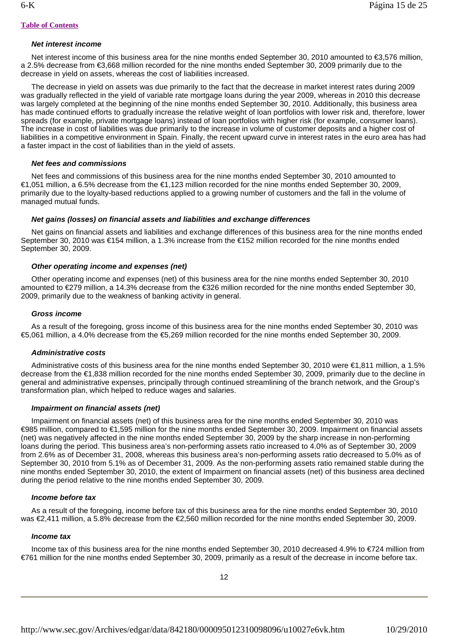# *Net interest income*

Net interest income of this business area for the nine months ended September 30, 2010 amounted to €3,576 million, a 2.5% decrease from €3,668 million recorded for the nine months ended September 30, 2009 primarily due to the decrease in yield on assets, whereas the cost of liabilities increased.

 The decrease in yield on assets was due primarily to the fact that the decrease in market interest rates during 2009 was gradually reflected in the yield of variable rate mortgage loans during the year 2009, whereas in 2010 this decrease was largely completed at the beginning of the nine months ended September 30, 2010. Additionally, this business area has made continued efforts to gradually increase the relative weight of loan portfolios with lower risk and, therefore, lower spreads (for example, private mortgage loans) instead of loan portfolios with higher risk (for example, consumer loans). The increase in cost of liabilities was due primarily to the increase in volume of customer deposits and a higher cost of liabilities in a competitive environment in Spain. Finally, the recent upward curve in interest rates in the euro area has had a faster impact in the cost of liabilities than in the yield of assets.

## *Net fees and commissions*

 Net fees and commissions of this business area for the nine months ended September 30, 2010 amounted to €1,051 million, a 6.5% decrease from the €1,123 million recorded for the nine months ended September 30, 2009, primarily due to the loyalty-based reductions applied to a growing number of customers and the fall in the volume of managed mutual funds.

#### *Net gains (losses) on financial assets and liabilities and exchange differences*

 Net gains on financial assets and liabilities and exchange differences of this business area for the nine months ended September 30, 2010 was €154 million, a 1.3% increase from the €152 million recorded for the nine months ended September 30, 2009.

# *Other operating income and expenses (net)*

 Other operating income and expenses (net) of this business area for the nine months ended September 30, 2010 amounted to €279 million, a 14.3% decrease from the €326 million recorded for the nine months ended September 30, 2009, primarily due to the weakness of banking activity in general.

#### *Gross income*

 As a result of the foregoing, gross income of this business area for the nine months ended September 30, 2010 was €5,061 million, a 4.0% decrease from the €5,269 million recorded for the nine months ended September 30, 2009.

#### *Administrative costs*

 Administrative costs of this business area for the nine months ended September 30, 2010 were €1,811 million, a 1.5% decrease from the €1,838 million recorded for the nine months ended September 30, 2009, primarily due to the decline in general and administrative expenses, principally through continued streamlining of the branch network, and the Group's transformation plan, which helped to reduce wages and salaries.

# *Impairment on financial assets (net)*

 Impairment on financial assets (net) of this business area for the nine months ended September 30, 2010 was €985 million, compared to €1,595 million for the nine months ended September 30, 2009. Impairment on financial assets (net) was negatively affected in the nine months ended September 30, 2009 by the sharp increase in non-performing loans during the period. This business area's non-performing assets ratio increased to 4.0% as of September 30, 2009 from 2.6% as of December 31, 2008, whereas this business area's non-performing assets ratio decreased to 5.0% as of September 30, 2010 from 5.1% as of December 31, 2009. As the non-performing assets ratio remained stable during the nine months ended September 30, 2010, the extent of Impairment on financial assets (net) of this business area declined during the period relative to the nine months ended September 30, 2009.

#### *Income before tax*

 As a result of the foregoing, income before tax of this business area for the nine months ended September 30, 2010 was €2,411 million, a 5.8% decrease from the €2,560 million recorded for the nine months ended September 30, 2009.

# *Income tax*

 Income tax of this business area for the nine months ended September 30, 2010 decreased 4.9% to €724 million from €761 million for the nine months ended September 30, 2009, primarily as a result of the decrease in income before tax.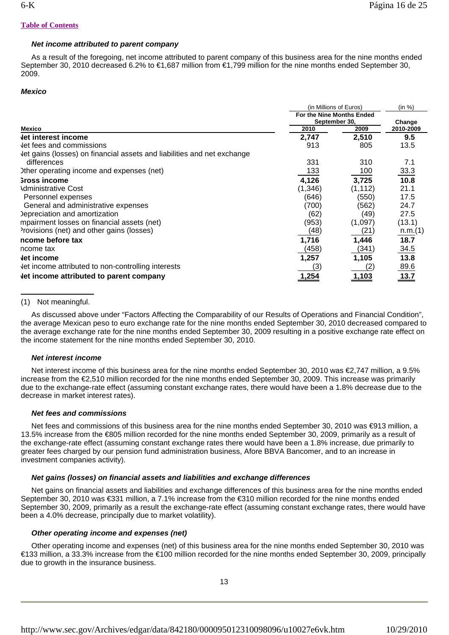# *Net income attributed to parent company*

 As a result of the foregoing, net income attributed to parent company of this business area for the nine months ended September 30, 2010 decreased 6.2% to €1,687 million from €1,799 million for the nine months ended September 30, 2009.

# *Mexico*

|                                                                         | (in Millions of Euros)                     | (in %)   |           |
|-------------------------------------------------------------------------|--------------------------------------------|----------|-----------|
|                                                                         | For the Nine Months Ended<br>September 30, |          |           |
|                                                                         |                                            |          | Change    |
| <b>Mexico</b>                                                           | 2010                                       | 2009     | 2010-2009 |
| let interest income                                                     | 2,747                                      | 2,510    | 9.5       |
| let fees and commissions                                                | 913                                        | 805      | 13.5      |
| Jet gains (losses) on financial assets and liabilities and net exchange |                                            |          |           |
| differences                                                             | 331                                        | 310      | 7.1       |
| Ither operating income and expenses (net)                               | 133                                        | 100      | 33.3      |
| <b>Sross income</b>                                                     | 4,126                                      | 3,725    | 10.8      |
| <b>\dministrative Cost</b>                                              | (1,346)                                    | (1, 112) | 21.1      |
| Personnel expenses                                                      | (646)                                      | (550)    | 17.5      |
| General and administrative expenses                                     | (700)                                      | (562)    | 24.7      |
| Depreciation and amortization                                           | (62)                                       | (49)     | 27.5      |
| mpairment losses on financial assets (net)                              | (953)                                      | (1,097)  | (13.1)    |
| Provisions (net) and other gains (losses)                               | (48)                                       | (21)     | n.m.(1)   |
| ncome before tax                                                        | 1,716                                      | 1,446    | 18.7      |
| ncome tax                                                               | (458)                                      | (341)    | 34.5      |
| let income                                                              | 1,257                                      | 1,105    | 13.8      |
| Jet income attributed to non-controlling interests                      | (3)                                        | (2)      | 89.6      |
| let income attributed to parent company                                 | 1,254                                      | 1,103    | 13.7      |

# (1) Not meaningful.

 As discussed above under "Factors Affecting the Comparability of our Results of Operations and Financial Condition", the average Mexican peso to euro exchange rate for the nine months ended September 30, 2010 decreased compared to the average exchange rate for the nine months ended September 30, 2009 resulting in a positive exchange rate effect on the income statement for the nine months ended September 30, 2010.

# *Net interest income*

 Net interest income of this business area for the nine months ended September 30, 2010 was €2,747 million, a 9.5% increase from the €2,510 million recorded for the nine months ended September 30, 2009. This increase was primarily due to the exchange-rate effect (assuming constant exchange rates, there would have been a 1.8% decrease due to the decrease in market interest rates).

# *Net fees and commissions*

Net fees and commissions of this business area for the nine months ended September 30, 2010 was €913 million, a 13.5% increase from the €805 million recorded for the nine months ended September 30, 2009, primarily as a result of the exchange-rate effect (assuming constant exchange rates there would have been a 1.8% increase, due primarily to greater fees charged by our pension fund administration business, Afore BBVA Bancomer, and to an increase in investment companies activity).

# *Net gains (losses) on financial assets and liabilities and exchange differences*

Net gains on financial assets and liabilities and exchange differences of this business area for the nine months ended September 30, 2010 was €331 million, a 7.1% increase from the €310 million recorded for the nine months ended September 30, 2009, primarily as a result the exchange-rate effect (assuming constant exchange rates, there would have been a 4.0% decrease, principally due to market volatility).

# *Other operating income and expenses (net)*

 Other operating income and expenses (net) of this business area for the nine months ended September 30, 2010 was €133 million, a 33.3% increase from the €100 million recorded for the nine months ended September 30, 2009, principally due to growth in the insurance business.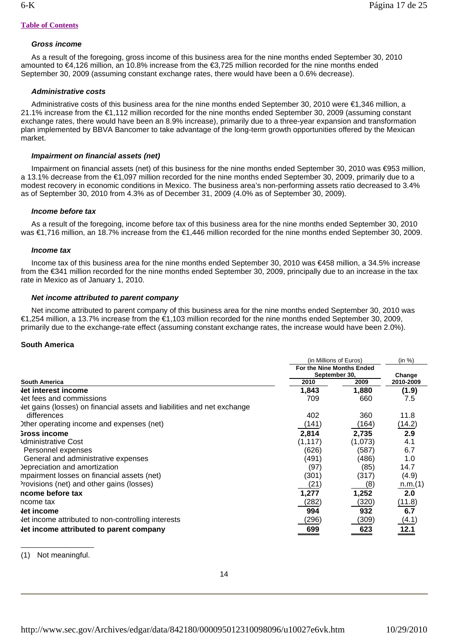# *Gross income*

 As a result of the foregoing, gross income of this business area for the nine months ended September 30, 2010 amounted to €4,126 million, an 10.8% increase from the €3,725 million recorded for the nine months ended September 30, 2009 (assuming constant exchange rates, there would have been a 0.6% decrease).

# *Administrative costs*

 Administrative costs of this business area for the nine months ended September 30, 2010 were €1,346 million, a 21.1% increase from the €1,112 million recorded for the nine months ended September 30, 2009 (assuming constant exchange rates, there would have been an 8.9% increase), primarily due to a three-year expansion and transformation plan implemented by BBVA Bancomer to take advantage of the long-term growth opportunities offered by the Mexican market.

# *Impairment on financial assets (net)*

 Impairment on financial assets (net) of this business for the nine months ended September 30, 2010 was €953 million, a 13.1% decrease from the €1,097 million recorded for the nine months ended September 30, 2009, primarily due to a modest recovery in economic conditions in Mexico. The business area's non-performing assets ratio decreased to 3.4% as of September 30, 2010 from 4.3% as of December 31, 2009 (4.0% as of September 30, 2009).

# *Income before tax*

 As a result of the foregoing, income before tax of this business area for the nine months ended September 30, 2010 was €1,716 million, an 18,7% increase from the €1,446 million recorded for the nine months ended September 30, 2009.

# *Income tax*

 Income tax of this business area for the nine months ended September 30, 2010 was €458 million, a 34.5% increase from the €341 million recorded for the nine months ended September 30, 2009, principally due to an increase in the tax rate in Mexico as of January 1, 2010.

# *Net income attributed to parent company*

 Net income attributed to parent company of this business area for the nine months ended September 30, 2010 was €1,254 million, a 13.7% increase from the €1,103 million recorded for the nine months ended September 30, 2009, primarily due to the exchange-rate effect (assuming constant exchange rates, the increase would have been 2.0%).

# **South America**

|                                                                         | (in Millions of Euros)<br>For the Nine Months Ended |         | (in %)    |  |
|-------------------------------------------------------------------------|-----------------------------------------------------|---------|-----------|--|
|                                                                         |                                                     |         |           |  |
|                                                                         | September 30,                                       |         | Change    |  |
| <b>South America</b>                                                    | 2010                                                | 2009    | 2010-2009 |  |
| <b>Jet interest income</b>                                              | 1,843                                               | 1,880   | (1.9)     |  |
| Jet fees and commissions                                                | 709                                                 | 660     | 7.5       |  |
| Jet gains (losses) on financial assets and liabilities and net exchange |                                                     |         |           |  |
| differences                                                             | 402                                                 | 360     | 11.8      |  |
| Other operating income and expenses (net)                               | (141)                                               | (164)   | (14.2)    |  |
| <b>Sross income</b>                                                     | 2,814                                               | 2,735   | 2.9       |  |
| <b>Administrative Cost</b>                                              | (1, 117)                                            | (1,073) | 4.1       |  |
| Personnel expenses                                                      | (626)                                               | (587)   | 6.7       |  |
| General and administrative expenses                                     | (491)                                               | (486)   | 1.0       |  |
| Depreciation and amortization                                           | (97)                                                | (85)    | 14.7      |  |
| mpairment losses on financial assets (net)                              | (301)                                               | (317)   | (4.9)     |  |
| Provisions (net) and other gains (losses)                               | (21)                                                | (8)     | n.m.(1)   |  |
| ncome before tax                                                        | 1,277                                               | 1,252   | 2.0       |  |
| ncome tax                                                               | (282)                                               | (320)   | (11.8)    |  |
| let income                                                              | 994                                                 | 932     | 6.7       |  |
| Jet income attributed to non-controlling interests                      | (296)                                               | (309)   | (4.1)     |  |
| let income attributed to parent company                                 | 699                                                 | 623     | 12.1      |  |

(1) Not meaningful.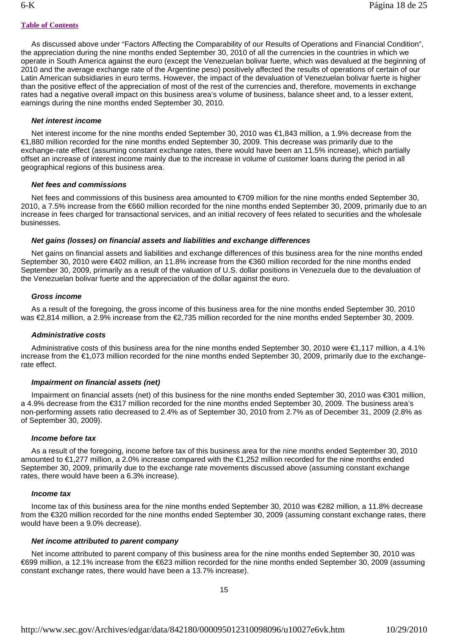As discussed above under "Factors Affecting the Comparability of our Results of Operations and Financial Condition", the appreciation during the nine months ended September 30, 2010 of all the currencies in the countries in which we operate in South America against the euro (except the Venezuelan bolivar fuerte, which was devalued at the beginning of 2010 and the average exchange rate of the Argentine peso) positively affected the results of operations of certain of our Latin American subsidiaries in euro terms. However, the impact of the devaluation of Venezuelan bolivar fuerte is higher than the positive effect of the appreciation of most of the rest of the currencies and, therefore, movements in exchange rates had a negative overall impact on this business area's volume of business, balance sheet and, to a lesser extent, earnings during the nine months ended September 30, 2010.

# *Net interest income*

 Net interest income for the nine months ended September 30, 2010 was €1,843 million, a 1.9% decrease from the €1,880 million recorded for the nine months ended September 30, 2009. This decrease was primarily due to the exchange-rate effect (assuming constant exchange rates, there would have been an 11.5% increase), which partially offset an increase of interest income mainly due to the increase in volume of customer loans during the period in all geographical regions of this business area.

#### *Net fees and commissions*

 Net fees and commissions of this business area amounted to €709 million for the nine months ended September 30, 2010, a 7.5% increase from the €660 million recorded for the nine months ended September 30, 2009, primarily due to an increase in fees charged for transactional services, and an initial recovery of fees related to securities and the wholesale businesses.

# *Net gains (losses) on financial assets and liabilities and exchange differences*

 Net gains on financial assets and liabilities and exchange differences of this business area for the nine months ended September 30, 2010 were €402 million, an 11.8% increase from the €360 million recorded for the nine months ended September 30, 2009, primarily as a result of the valuation of U.S. dollar positions in Venezuela due to the devaluation of the Venezuelan bolivar fuerte and the appreciation of the dollar against the euro.

# *Gross income*

 As a result of the foregoing, the gross income of this business area for the nine months ended September 30, 2010 was €2,814 million, a 2.9% increase from the €2,735 million recorded for the nine months ended September 30, 2009.

# *Administrative costs*

 Administrative costs of this business area for the nine months ended September 30, 2010 were €1,117 million, a 4.1% increase from the €1,073 million recorded for the nine months ended September 30, 2009, primarily due to the exchangerate effect.

#### *Impairment on financial assets (net)*

 Impairment on financial assets (net) of this business for the nine months ended September 30, 2010 was €301 million, a 4.9% decrease from the €317 million recorded for the nine months ended September 30, 2009. The business area's non-performing assets ratio decreased to 2.4% as of September 30, 2010 from 2.7% as of December 31, 2009 (2.8% as of September 30, 2009).

#### *Income before tax*

 As a result of the foregoing, income before tax of this business area for the nine months ended September 30, 2010 amounted to €1,277 million, a 2.0% increase compared with the €1,252 million recorded for the nine months ended September 30, 2009, primarily due to the exchange rate movements discussed above (assuming constant exchange rates, there would have been a 6.3% increase).

#### *Income tax*

 Income tax of this business area for the nine months ended September 30, 2010 was €282 million, a 11.8% decrease from the €320 million recorded for the nine months ended September 30, 2009 (assuming constant exchange rates, there would have been a 9.0% decrease).

#### *Net income attributed to parent company*

 Net income attributed to parent company of this business area for the nine months ended September 30, 2010 was €699 million, a 12.1% increase from the €623 million recorded for the nine months ended September 30, 2009 (assuming constant exchange rates, there would have been a 13.7% increase).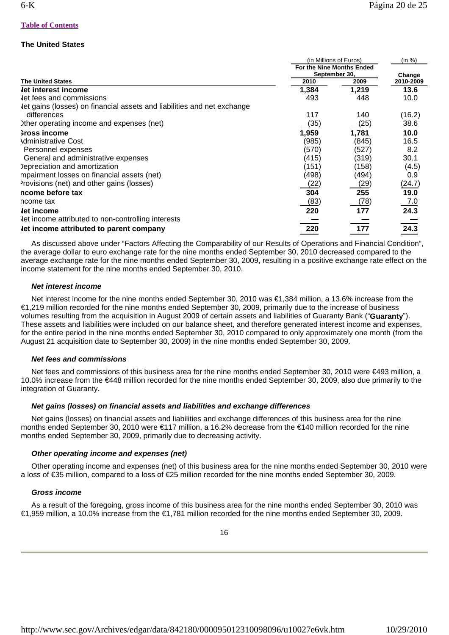# **The United States**

|                                                                         |                               | (in Millions of Euros) | (in %)              |
|-------------------------------------------------------------------------|-------------------------------|------------------------|---------------------|
|                                                                         | For the Nine Months Ended     |                        | Change<br>2010-2009 |
| <b>The United States</b>                                                | September 30,<br>2010<br>2009 |                        |                     |
|                                                                         |                               |                        |                     |
| <b>Jet interest income</b>                                              | 1,384                         | 1,219                  | 13.6                |
| Jet fees and commissions                                                | 493                           | 448                    | 10.0                |
| Jet gains (losses) on financial assets and liabilities and net exchange |                               |                        |                     |
| differences                                                             | 117                           | 140                    | (16.2)              |
| Ither operating income and expenses (net)                               | (35)                          | (25)                   | 38.6                |
| <b>Sross income</b>                                                     | 1,959                         | 1,781                  | 10.0                |
| <b>\dministrative Cost</b>                                              | (985)                         | (845)                  | 16.5                |
| Personnel expenses                                                      | (570)                         | (527)                  | 8.2                 |
| General and administrative expenses                                     | (415)                         | (319)                  | 30.1                |
| Depreciation and amortization                                           | (151)                         | (158)                  | (4.5)               |
| mpairment losses on financial assets (net)                              | (498)                         | (494)                  | 0.9                 |
| Provisions (net) and other gains (losses)                               | (22)                          | (29)                   | (24.7)              |
| ncome before tax                                                        | 304                           | 255                    | 19.0                |
| ncome tax                                                               | (83)                          | (78)                   | 7.0                 |
| let income                                                              | 220                           | 177                    | 24.3                |
| Jet income attributed to non-controlling interests                      |                               |                        |                     |
| Let income attributed to parent company                                 | 220                           | 177                    | 24.3                |

 As discussed above under "Factors Affecting the Comparability of our Results of Operations and Financial Condition", the average dollar to euro exchange rate for the nine months ended September 30, 2010 decreased compared to the average exchange rate for the nine months ended September 30, 2009, resulting in a positive exchange rate effect on the income statement for the nine months ended September 30, 2010.

# *Net interest income*

 Net interest income for the nine months ended September 30, 2010 was €1,384 million, a 13.6% increase from the €1,219 million recorded for the nine months ended September 30, 2009, primarily due to the increase of business volumes resulting from the acquisition in August 2009 of certain assets and liabilities of Guaranty Bank ("**Guaranty**"). These assets and liabilities were included on our balance sheet, and therefore generated interest income and expenses, for the entire period in the nine months ended September 30, 2010 compared to only approximately one month (from the August 21 acquisition date to September 30, 2009) in the nine months ended September 30, 2009.

# *Net fees and commissions*

Net fees and commissions of this business area for the nine months ended September 30, 2010 were €493 million, a 10.0% increase from the €448 million recorded for the nine months ended September 30, 2009, also due primarily to the integration of Guaranty.

# *Net gains (losses) on financial assets and liabilities and exchange differences*

 Net gains (losses) on financial assets and liabilities and exchange differences of this business area for the nine months ended September 30, 2010 were €117 million, a 16.2% decrease from the €140 million recorded for the nine months ended September 30, 2009, primarily due to decreasing activity.

# *Other operating income and expenses (net)*

 Other operating income and expenses (net) of this business area for the nine months ended September 30, 2010 were a loss of €35 million, compared to a loss of €25 million recorded for the nine months ended September 30, 2009.

# *Gross income*

 As a result of the foregoing, gross income of this business area for the nine months ended September 30, 2010 was €1,959 million, a 10.0% increase from the €1,781 million recorded for the nine months ended September 30, 2009.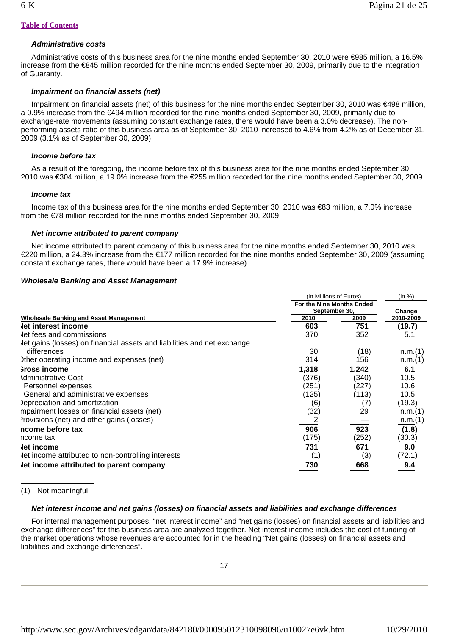# *Administrative costs*

 Administrative costs of this business area for the nine months ended September 30, 2010 were €985 million, a 16.5% increase from the €845 million recorded for the nine months ended September 30, 2009, primarily due to the integration of Guaranty.

# *Impairment on financial assets (net)*

 Impairment on financial assets (net) of this business for the nine months ended September 30, 2010 was €498 million, a 0.9% increase from the €494 million recorded for the nine months ended September 30, 2009, primarily due to exchange-rate movements (assuming constant exchange rates, there would have been a 3.0% decrease). The nonperforming assets ratio of this business area as of September 30, 2010 increased to 4.6% from 4.2% as of December 31, 2009 (3.1% as of September 30, 2009).

# *Income before tax*

 As a result of the foregoing, the income before tax of this business area for the nine months ended September 30, 2010 was €304 million, a 19.0% increase from the €255 million recorded for the nine months ended September 30, 2009.

# *Income tax*

 Income tax of this business area for the nine months ended September 30, 2010 was €83 million, a 7.0% increase from the €78 million recorded for the nine months ended September 30, 2009.

# *Net income attributed to parent company*

 Net income attributed to parent company of this business area for the nine months ended September 30, 2010 was €220 million, a 24.3% increase from the €177 million recorded for the nine months ended September 30, 2009 (assuming constant exchange rates, there would have been a 17.9% increase).

# *Wholesale Banking and Asset Management*

|                                                                         | (in Millions of Euros)<br>For the Nine Months Ended |       | (in %)    |  |
|-------------------------------------------------------------------------|-----------------------------------------------------|-------|-----------|--|
|                                                                         |                                                     |       |           |  |
|                                                                         | September 30,                                       |       | Change    |  |
| <b>Wholesale Banking and Asset Management</b>                           | 2010                                                | 2009  | 2010-2009 |  |
| <b>Jet interest income</b>                                              | 603                                                 | 751   | (19.7)    |  |
| Jet fees and commissions                                                | 370                                                 | 352   | 5.1       |  |
| Jet gains (losses) on financial assets and liabilities and net exchange |                                                     |       |           |  |
| differences                                                             | 30                                                  | (18)  | n.m.(1)   |  |
| Other operating income and expenses (net)                               | 314                                                 | 156   | n.m.(1)   |  |
| <b>Sross income</b>                                                     | 1,318                                               | 1,242 | 6.1       |  |
| <b>Administrative Cost</b>                                              | (376)                                               | (340) | 10.5      |  |
| Personnel expenses                                                      | (251)                                               | (227) | 10.6      |  |
| General and administrative expenses                                     | (125)                                               | (113) | 10.5      |  |
| Depreciation and amortization                                           | (6)                                                 | (7)   | (19.3)    |  |
| mpairment losses on financial assets (net)                              | (32)                                                | 29    | n.m.(1)   |  |
| Provisions (net) and other gains (losses)                               |                                                     |       | n.m.(1)   |  |
| ncome before tax                                                        | 906                                                 | 923   | (1.8)     |  |
| ncome tax                                                               | (175)                                               | (252) | (30.3)    |  |
| let income                                                              | 731                                                 | 671   | 9.0       |  |
| Jet income attributed to non-controlling interests                      | (1                                                  | (3)   | (72.1)    |  |
| let income attributed to parent company                                 | 730                                                 | 668   | 9.4       |  |

(1) Not meaningful.

# *Net interest income and net gains (losses) on financial assets and liabilities and exchange differences*

 For internal management purposes, "net interest income" and "net gains (losses) on financial assets and liabilities and exchange differences" for this business area are analyzed together. Net interest income includes the cost of funding of the market operations whose revenues are accounted for in the heading "Net gains (losses) on financial assets and liabilities and exchange differences".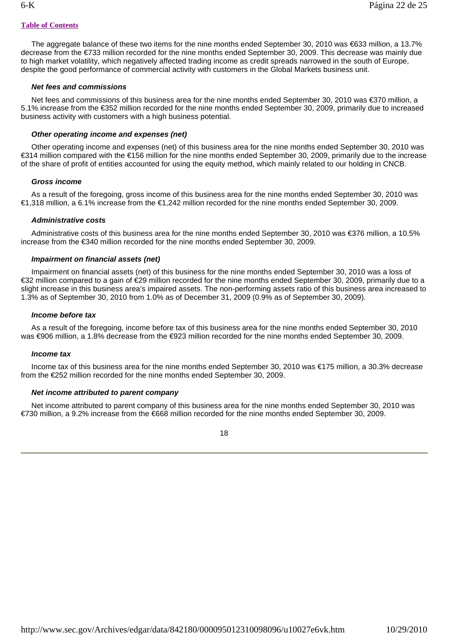The aggregate balance of these two items for the nine months ended September 30, 2010 was €633 million, a 13.7% decrease from the €733 million recorded for the nine months ended September 30, 2009. This decrease was mainly due to high market volatility, which negatively affected trading income as credit spreads narrowed in the south of Europe, despite the good performance of commercial activity with customers in the Global Markets business unit.

# *Net fees and commissions*

Net fees and commissions of this business area for the nine months ended September 30, 2010 was €370 million, a 5.1% increase from the €352 million recorded for the nine months ended September 30, 2009, primarily due to increased business activity with customers with a high business potential.

# *Other operating income and expenses (net)*

 Other operating income and expenses (net) of this business area for the nine months ended September 30, 2010 was €314 million compared with the €156 million for the nine months ended September 30, 2009, primarily due to the increase of the share of profit of entities accounted for using the equity method, which mainly related to our holding in CNCB.

# *Gross income*

 As a result of the foregoing, gross income of this business area for the nine months ended September 30, 2010 was €1,318 million, a 6.1% increase from the €1,242 million recorded for the nine months ended September 30, 2009.

# *Administrative costs*

 Administrative costs of this business area for the nine months ended September 30, 2010 was €376 million, a 10.5% increase from the €340 million recorded for the nine months ended September 30, 2009.

# *Impairment on financial assets (net)*

 Impairment on financial assets (net) of this business for the nine months ended September 30, 2010 was a loss of €32 million compared to a gain of €29 million recorded for the nine months ended September 30, 2009, primarily due to a slight increase in this business area's impaired assets. The non-performing assets ratio of this business area increased to 1.3% as of September 30, 2010 from 1.0% as of December 31, 2009 (0.9% as of September 30, 2009).

# *Income before tax*

 As a result of the foregoing, income before tax of this business area for the nine months ended September 30, 2010 was €906 million, a 1.8% decrease from the €923 million recorded for the nine months ended September 30, 2009.

# *Income tax*

 Income tax of this business area for the nine months ended September 30, 2010 was €175 million, a 30.3% decrease from the €252 million recorded for the nine months ended September 30, 2009.

# *Net income attributed to parent company*

 Net income attributed to parent company of this business area for the nine months ended September 30, 2010 was €730 million, a 9.2% increase from the €668 million recorded for the nine months ended September 30, 2009.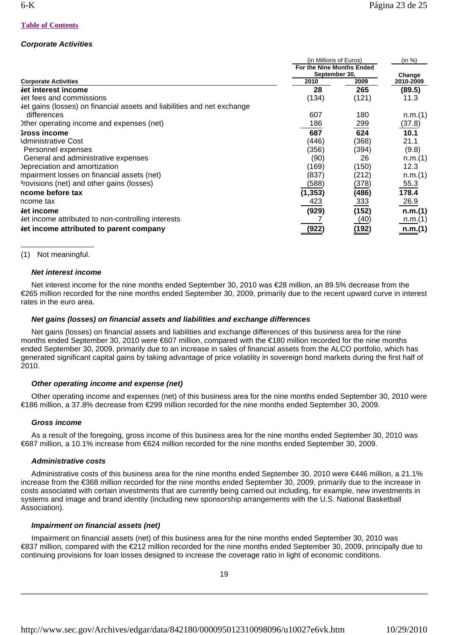# *Corporate Activities*

|                                                                         | (in Millions of Euros)                     | (in %) |           |
|-------------------------------------------------------------------------|--------------------------------------------|--------|-----------|
|                                                                         | For the Nine Months Ended<br>September 30, |        | Change    |
| <b>Corporate Activities</b>                                             | 2010                                       | 2009   | 2010-2009 |
| <b>Jet interest income</b>                                              | 28                                         | 265    | (89.5)    |
| Jet fees and commissions                                                | (134)                                      | (121)  | 11.3      |
| Jet gains (losses) on financial assets and liabilities and net exchange |                                            |        |           |
| differences                                                             | 607                                        | 180    | n.m.(1)   |
| Other operating income and expenses (net)                               | 186                                        | 299    | (37.8)    |
| <b>Sross income</b>                                                     | 687                                        | 624    | 10.1      |
| <b>\dministrative Cost</b>                                              | (446)                                      | (368)  | 21.1      |
| Personnel expenses                                                      | (356)                                      | (394)  | (9.8)     |
| General and administrative expenses                                     | (90)                                       | 26     | n.m.(1)   |
| Depreciation and amortization                                           | (169)                                      | (150)  | 12.3      |
| mpairment losses on financial assets (net)                              | (837)                                      | (212)  | n.m.(1)   |
| Provisions (net) and other gains (losses)                               | (588)                                      | (378)  | 55.3      |
| ncome before tax                                                        | (1, 353)                                   | (486)  | 178.4     |
| ncome tax                                                               | 423                                        | 333    | 26.9      |
| let income                                                              | (929)                                      | (152)  | n.m.(1)   |
| Jet income attributed to non-controlling interests                      |                                            | (40)   | n.m.(1)   |
| Let income attributed to parent company                                 | (922)                                      | (192)  | n.m.(1)   |

(1) Not meaningful.

# *Net interest income*

Net interest income for the nine months ended September 30, 2010 was €28 million, an 89.5% decrease from the €265 million recorded for the nine months ended September 30, 2009, primarily due to the recent upward curve in interest rates in the euro area.

# *Net gains (losses) on financial assets and liabilities and exchange differences*

 Net gains (losses) on financial assets and liabilities and exchange differences of this business area for the nine months ended September 30, 2010 were €607 million, compared with the €180 million recorded for the nine months ended September 30, 2009, primarily due to an increase in sales of financial assets from the ALCO portfolio, which has generated significant capital gains by taking advantage of price volatility in sovereign bond markets during the first half of 2010.

# *Other operating income and expense (net)*

 Other operating income and expenses (net) of this business area for the nine months ended September 30, 2010 were €186 million, a 37.8% decrease from €299 million recorded for the nine months ended September 30, 2009.

# *Gross income*

 As a result of the foregoing, gross income of this business area for the nine months ended September 30, 2010 was €687 million, a 10.1% increase from €624 million recorded for the nine months ended September 30, 2009.

# *Administrative costs*

 Administrative costs of this business area for the nine months ended September 30, 2010 were €446 million, a 21.1% increase from the €368 million recorded for the nine months ended September 30, 2009, primarily due to the increase in costs associated with certain investments that are currently being carried out including, for example, new investments in systems and image and brand identity (including new sponsorship arrangements with the U.S. National Basketball Association).

# *Impairment on financial assets (net)*

 Impairment on financial assets (net) of this business area for the nine months ended September 30, 2010 was €837 million, compared with the €212 million recorded for the nine months ended September 30, 2009, principally due to continuing provisions for loan losses designed to increase the coverage ratio in light of economic conditions.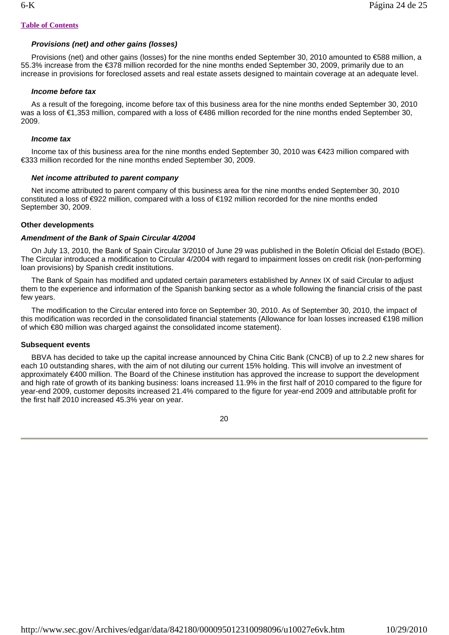# *Provisions (net) and other gains (losses)*

Provisions (net) and other gains (losses) for the nine months ended September 30, 2010 amounted to €588 million, a 55.3% increase from the €378 million recorded for the nine months ended September 30, 2009, primarily due to an increase in provisions for foreclosed assets and real estate assets designed to maintain coverage at an adequate level.

#### *Income before tax*

 As a result of the foregoing, income before tax of this business area for the nine months ended September 30, 2010 was a loss of €1,353 million, compared with a loss of €486 million recorded for the nine months ended September 30, 2009.

#### *Income tax*

 Income tax of this business area for the nine months ended September 30, 2010 was €423 million compared with €333 million recorded for the nine months ended September 30, 2009.

## *Net income attributed to parent company*

 Net income attributed to parent company of this business area for the nine months ended September 30, 2010 constituted a loss of €922 million, compared with a loss of €192 million recorded for the nine months ended September 30, 2009.

#### **Other developments**

#### *Amendment of the Bank of Spain Circular 4/2004*

 On July 13, 2010, the Bank of Spain Circular 3/2010 of June 29 was published in the Boletín Oficial del Estado (BOE). The Circular introduced a modification to Circular 4/2004 with regard to impairment losses on credit risk (non-performing loan provisions) by Spanish credit institutions.

 The Bank of Spain has modified and updated certain parameters established by Annex IX of said Circular to adjust them to the experience and information of the Spanish banking sector as a whole following the financial crisis of the past few years.

 The modification to the Circular entered into force on September 30, 2010. As of September 30, 2010, the impact of this modification was recorded in the consolidated financial statements (Allowance for loan losses increased €198 million of which €80 million was charged against the consolidated income statement).

#### **Subsequent events**

 BBVA has decided to take up the capital increase announced by China Citic Bank (CNCB) of up to 2.2 new shares for each 10 outstanding shares, with the aim of not diluting our current 15% holding. This will involve an investment of approximately €400 million. The Board of the Chinese institution has approved the increase to support the development and high rate of growth of its banking business: loans increased 11.9% in the first half of 2010 compared to the figure for year-end 2009, customer deposits increased 21.4% compared to the figure for year-end 2009 and attributable profit for the first half 2010 increased 45.3% year on year.

20